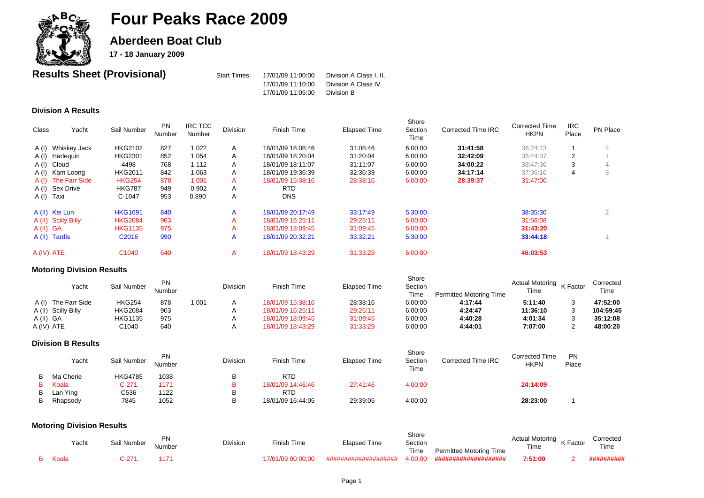

**Aberdeen Boat Club** 

**17 - 18 January 2009**

| <b>Results Sheet (Provisional)</b> | Start Times: | 17/01/09 11:00:00 | Division A Class I. II. |
|------------------------------------|--------------|-------------------|-------------------------|
|                                    |              | 17/01/09 11:10:00 | Division A Class IV     |
|                                    |              | 17/01/09 11:05:00 | Division B              |

### **Division A Results**

| <b>Class</b> | Yacht               | Sail Number       | <b>PN</b><br>Number | <b>IRC TCC</b><br>Number | <b>Division</b> | Finish Time       | <b>Elapsed Time</b> | Shore<br>Section<br>Time | <b>Corrected Time IRC</b> | <b>Corrected Time</b><br><b>HKPN</b> | <b>IRC</b><br>Place | PN Place |
|--------------|---------------------|-------------------|---------------------|--------------------------|-----------------|-------------------|---------------------|--------------------------|---------------------------|--------------------------------------|---------------------|----------|
|              | A (I) Whiskey Jack  | <b>HKG2102</b>    | 827                 | 1.022                    | A               | 18/01/09 18:08:46 | 31:08:46            | 6:00:00                  | 31:41:58                  | 36:24:23                             |                     | ∠        |
|              | A (I) Harlequin     | <b>HKG2301</b>    | 852                 | 1.054                    | A               | 18/01/09 18:20:04 | 31:20:04            | 6:00:00                  | 32:42:09                  | 35:44:07                             | 2                   |          |
|              | A (I) Cloud         | 4498              | 768                 | 1.112                    | A               | 18/01/09 18:11:07 | 31:11:07            | 6:00:00                  | 34:00:22                  | 38:47:36                             | 3                   |          |
|              | A (I) Kam Loong     | <b>HKG2011</b>    | 842                 | 1.063                    | A               | 18/01/09 19:36:39 | 32:36:39            | 6:00:00                  | 34:17:14                  | 37:36:16                             | 4                   | 3        |
|              | A (I) The Farr Side | <b>HKG254</b>     | 878                 | 1.001                    | A               | 18/01/09 15:38:16 | 28:38:16            | 6:00:00                  | 28:39:37                  | 31:47:00                             |                     |          |
|              | A (I) Sex Drive     | <b>HKG787</b>     | 949                 | 0.902                    | A               | <b>RTD</b>        |                     |                          |                           |                                      |                     |          |
| A(I) Taxi    |                     | C-1047            | 953                 | 0.890                    | A               | <b>DNS</b>        |                     |                          |                           |                                      |                     |          |
|              | A (II) Kei Lun      | <b>HKG1691</b>    | 840                 |                          | A               | 18/01/09 20:17:49 | 33:17:49            | 5:30:00                  |                           | 38:35:30                             |                     |          |
|              | A (II) Scilly Billy | <b>HKG2084</b>    | 903                 |                          | А               | 18/01/09 16:25:11 | 29:25:11            | 6:00:00                  |                           | 31:56:08                             |                     |          |
| A(II) GA     |                     | <b>HKG1135</b>    | 975                 |                          | A               | 18/01/09 18:09:45 | 31:09:45            | 6:00:00                  |                           | 31:43:20                             |                     |          |
|              | A (II) Tardis       | C <sub>2016</sub> | 990                 |                          | A               | 18/01/09 20:32:21 | 33:32:21            | 5:30:00                  |                           | 33:44:18                             |                     |          |
| A (IV) ATE   |                     | C <sub>1040</sub> | 640                 |                          | A               | 18/01/09 18:43:29 | 31:33:29            | 6:00:00                  |                           | 46:03:53                             |                     |          |

### **Motoring Division Results**

| Yacht               | Sail Number    | PN.<br>Number |      | <b>Division</b> | Finish Time       | Elapsed Time | Shore<br>Section<br>Time | <b>Permitted Motoring Time</b> | Actual Motoring K Factor<br>Time | Corrected<br>Time |
|---------------------|----------------|---------------|------|-----------------|-------------------|--------------|--------------------------|--------------------------------|----------------------------------|-------------------|
| A (I) The Farr Side | <b>HKG254</b>  | 878           | .001 |                 | 18/01/09 15:38:16 | 28:38:16     | 6:00:00                  | 4:17:44                        | 5:11:40                          | 47:52:00          |
| A (II) Scilly Billy | <b>HKG2084</b> | 903           |      |                 | 18/01/09 16:25:11 | 29:25:11     | 6:00:00                  | 4:24:47                        | 11:36:10                         | 104:59:45         |
| A(II) GA            | HKG1135        | 975           |      |                 | 18/01/09 18:09:45 | 31:09:45     | 6:00:00                  | 4:40:28                        | 4:01:34                          | 35:12:08          |
| A (IV) ATE          | C1040          | 640           |      |                 | 18/01/09 18:43:29 | 31:33:29     | 6:00:00                  | 4:44:01                        | 7:07:00                          | 48:00:20          |

#### **Division B Results**

|   | Yacht     | Sail Number    | <b>PN</b><br>Number | <b>Division</b> | Finish Time       | Elapsed Time | Shore<br>Section<br>Time | Corrected Time IRC | <b>Corrected Time</b><br><b>HKPN</b> | <b>PN</b><br>Place |
|---|-----------|----------------|---------------------|-----------------|-------------------|--------------|--------------------------|--------------------|--------------------------------------|--------------------|
| в | Ma Cherie | <b>HKG4785</b> | 1038                |                 | <b>RTD</b>        |              |                          |                    |                                      |                    |
|   | Koala     | $C-271$        | 1171                |                 | 18/01/09 14:46:46 | 27:41:46     | 4:00:00                  |                    | 24:14:09                             |                    |
| в | Lan Ying  | C536           | 1122                | В               | <b>RTD</b>        |              |                          |                    |                                      |                    |
|   | Rhapsody  | 7845           | 1052                |                 | 18/01/09 16:44:05 | 29:39:05     | 4:00:00                  |                    | 28:23:00                             |                    |

### **Motoring Division Results**

| Yacht | Sail Number | <b>PN</b><br>Number | <b>Division</b> | Finish Time       | Elapsed Time         | Shore<br>Section<br>Time | <b>Permitted Motoring Time</b> | Actual Motoring K Factor<br>Time | Corrected<br>Time |
|-------|-------------|---------------------|-----------------|-------------------|----------------------|--------------------------|--------------------------------|----------------------------------|-------------------|
| Koala | C-271       |                     |                 | 17/01/09 00:00:00 | #################### | 4:00:00                  | ####################           | 7:51:00                          |                   |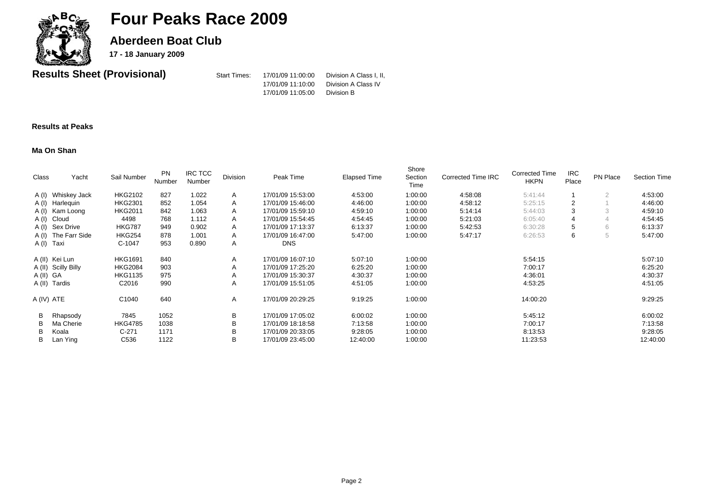

**Aberdeen Boat Club** 

**17 - 18 January 2009**

**Results Sheet (Provisional)** Start Times: 17/01/09 11:00:00 Division A Class I, II,

17/01/09 11:10:00 Division A Class IV

### 17/01/09 11:05:00 Division B

#### **Results at Peaks**

#### **Ma On Shan**

| Class         | Yacht               | Sail Number       | <b>PN</b><br>Number | <b>IRC TCC</b><br>Number | Division | Peak Time         | Elapsed Time | Shore<br>Section<br>Time | Corrected Time IRC | <b>Corrected Time</b><br><b>HKPN</b> | <b>IRC</b><br>Place | PN Place       | <b>Section Time</b> |
|---------------|---------------------|-------------------|---------------------|--------------------------|----------|-------------------|--------------|--------------------------|--------------------|--------------------------------------|---------------------|----------------|---------------------|
|               | A (I) Whiskey Jack  | <b>HKG2102</b>    | 827                 | 1.022                    | A        | 17/01/09 15:53:00 | 4:53:00      | 1:00:00                  | 4:58:08            | 5:41:44                              |                     | $\overline{2}$ | 4:53:00             |
|               | A (I) Harlequin     | <b>HKG2301</b>    | 852                 | 1.054                    | A        | 17/01/09 15:46:00 | 4:46:00      | 1:00:00                  | 4:58:12            | 5:25:15                              |                     |                | 4:46:00             |
|               | A (I) Kam Loong     | <b>HKG2011</b>    | 842                 | 1.063                    | A        | 17/01/09 15:59:10 | 4:59:10      | 1:00:00                  | 5:14:14            | 5:44:03                              |                     |                | 4:59:10             |
| A (I) Cloud   |                     | 4498              | 768                 | 1.112                    | A        | 17/01/09 15:54:45 | 4:54:45      | 1:00:00                  | 5:21:03            | 6:05:40                              |                     |                | 4:54:45             |
|               | A (I) Sex Drive     | <b>HKG787</b>     | 949                 | 0.902                    | A        | 17/01/09 17:13:37 | 6:13:37      | 1:00:00                  | 5:42:53            | 6:30:28                              |                     | 6              | 6:13:37             |
|               | A (I) The Farr Side | <b>HKG254</b>     | 878                 | 1.001                    | A        | 17/01/09 16:47:00 | 5:47:00      | 1:00:00                  | 5:47:17            | 6:26:53                              | 6                   | 5              | 5:47:00             |
| A (I) Taxi    |                     | C-1047            | 953                 | 0.890                    | A        | <b>DNS</b>        |              |                          |                    |                                      |                     |                |                     |
|               | A (II) Kei Lun      | <b>HKG1691</b>    | 840                 |                          | A        | 17/01/09 16:07:10 | 5:07:10      | 1:00:00                  |                    | 5:54:15                              |                     |                | 5:07:10             |
|               | A (II) Scilly Billy | <b>HKG2084</b>    | 903                 |                          | A        | 17/01/09 17:25:20 | 6:25:20      | 1:00:00                  |                    | 7:00:17                              |                     |                | 6:25:20             |
| A (II) GA     |                     | <b>HKG1135</b>    | 975                 |                          | A        | 17/01/09 15:30:37 | 4:30:37      | 1:00:00                  |                    | 4:36:01                              |                     |                | 4:30:37             |
| A (II) Tardis |                     | C <sub>2016</sub> | 990                 |                          | A        | 17/01/09 15:51:05 | 4:51:05      | 1:00:00                  |                    | 4:53:25                              |                     |                | 4:51:05             |
| A (IV) ATE    |                     | C <sub>1040</sub> | 640                 |                          | A        | 17/01/09 20:29:25 | 9:19:25      | 1:00:00                  |                    | 14:00:20                             |                     |                | 9:29:25             |
| B             | Rhapsody            | 7845              | 1052                |                          | B        | 17/01/09 17:05:02 | 6:00:02      | 1:00:00                  |                    | 5:45:12                              |                     |                | 6:00:02             |
| в             | Ma Cherie           | <b>HKG4785</b>    | 1038                |                          | В        | 17/01/09 18:18:58 | 7:13:58      | 1:00:00                  |                    | 7:00:17                              |                     |                | 7:13:58             |
| в             | Koala               | $C-271$           | 1171                |                          | в        | 17/01/09 20:33:05 | 9:28:05      | 1:00:00                  |                    | 8:13:53                              |                     |                | 9:28:05             |
| в             | Lan Ying            | C536              | 1122                |                          | B        | 17/01/09 23:45:00 | 12:40:00     | 1:00:00                  |                    | 11:23:53                             |                     |                | 12:40:00            |
|               |                     |                   |                     |                          |          |                   |              |                          |                    |                                      |                     |                |                     |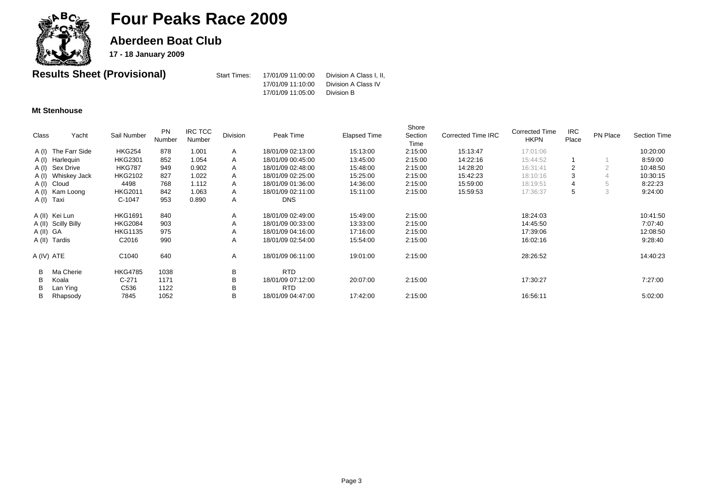

**Aberdeen Boat Club** 

**17 - 18 January 2009**

| <b>Results Sheet (Provisional)</b> | Start Times: | 17/01/09 11:00:00 | Division A Class I. II. |
|------------------------------------|--------------|-------------------|-------------------------|
|                                    |              | 17/01/09 11:10:00 | Division A Class IV     |
|                                    |              | 17/01/09 11:05:00 | Division B              |

#### **Mt Stenhouse**

| Class    | Yacht               | Sail Number       | <b>PN</b><br>Number | <b>IRC TCC</b><br>Number | Division | Peak Time         | <b>Elapsed Time</b> | Shore<br>Section<br>Time | Corrected Time IRC | <b>Corrected Time</b><br><b>HKPN</b> | <b>IRC</b><br>Place | PN Place | <b>Section Time</b> |
|----------|---------------------|-------------------|---------------------|--------------------------|----------|-------------------|---------------------|--------------------------|--------------------|--------------------------------------|---------------------|----------|---------------------|
|          | A (I) The Farr Side | <b>HKG254</b>     | 878                 | 1.001                    | A        | 18/01/09 02:13:00 | 15:13:00            | 2:15:00                  | 15:13:47           | 17:01:06                             |                     |          | 10:20:00            |
|          | A (I) Harlequin     | <b>HKG2301</b>    | 852                 | 1.054                    | A        | 18/01/09 00:45:00 | 13:45:00            | 2:15:00                  | 14:22:16           | 15:44:52                             |                     |          | 8:59:00             |
|          | A (I) Sex Drive     | <b>HKG787</b>     | 949                 | 0.902                    | A        | 18/01/09 02:48:00 | 15:48:00            | 2:15:00                  | 14:28:20           | 16:31:41                             |                     |          | 10:48:50            |
|          | A (I) Whiskey Jack  | <b>HKG2102</b>    | 827                 | 1.022                    | A        | 18/01/09 02:25:00 | 15:25:00            | 2:15:00                  | 15:42:23           | 18:10:16                             |                     |          | 10:30:15            |
|          | A (I) Cloud         | 4498              | 768                 | 1.112                    | A        | 18/01/09 01:36:00 | 14:36:00            | 2:15:00                  | 15:59:00           | 18:19:51                             |                     |          | 8:22:23             |
|          | A (I) Kam Loong     | <b>HKG2011</b>    | 842                 | 1.063                    | A        | 18/01/09 02:11:00 | 15:11:00            | 2:15:00                  | 15:59:53           | 17:36:37                             | 5                   | 3        | 9:24:00             |
|          | A(I) Taxi           | C-1047            | 953                 | 0.890                    | A        | <b>DNS</b>        |                     |                          |                    |                                      |                     |          |                     |
|          | A (II) Kei Lun      | <b>HKG1691</b>    | 840                 |                          | A        | 18/01/09 02:49:00 | 15:49:00            | 2:15:00                  |                    | 18:24:03                             |                     |          | 10:41:50            |
|          | A (II) Scilly Billy | <b>HKG2084</b>    | 903                 |                          | A        | 18/01/09 00:33:00 | 13:33:00            | 2:15:00                  |                    | 14:45:50                             |                     |          | 7:07:40             |
| A(II) GA |                     | <b>HKG1135</b>    | 975                 |                          | A        | 18/01/09 04:16:00 | 17:16:00            | 2:15:00                  |                    | 17:39:06                             |                     |          | 12:08:50            |
|          | A (II) Tardis       | C <sub>2016</sub> | 990                 |                          | A        | 18/01/09 02:54:00 | 15:54:00            | 2:15:00                  |                    | 16:02:16                             |                     |          | 9:28:40             |
|          | A (IV) ATE          | C1040             | 640                 |                          | A        | 18/01/09 06:11:00 | 19:01:00            | 2:15:00                  |                    | 28:26:52                             |                     |          | 14:40:23            |
| B        | Ma Cherie           | <b>HKG4785</b>    | 1038                |                          | B        | <b>RTD</b>        |                     |                          |                    |                                      |                     |          |                     |
| B        | Koala               | $C-271$           | 1171                |                          | B        | 18/01/09 07:12:00 | 20:07:00            | 2:15:00                  |                    | 17:30:27                             |                     |          | 7:27:00             |
| В        | Lan Ying            | C536              | 1122                |                          | B        | <b>RTD</b>        |                     |                          |                    |                                      |                     |          |                     |
| В        | Rhapsody            | 7845              | 1052                |                          | В        | 18/01/09 04:47:00 | 17:42:00            | 2:15:00                  |                    | 16:56:11                             |                     |          | 5:02:00             |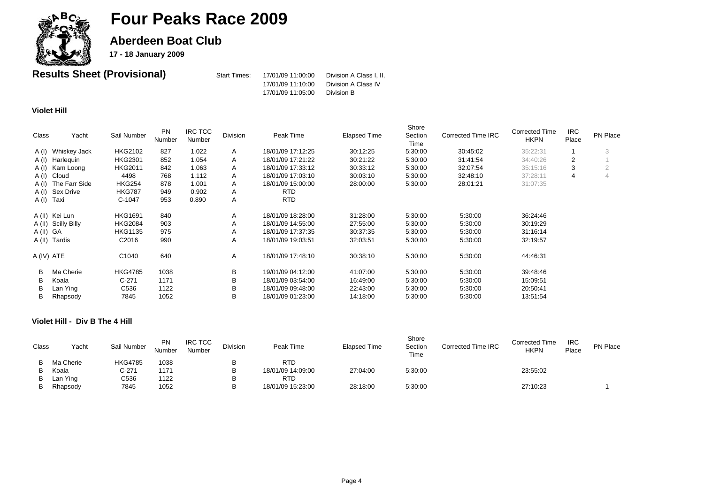

**Aberdeen Boat Club** 

**17 - 18 January 2009**

| <b>Results Sheet (Provisional)</b> | Start Times: | 17/01/09 11:00:00 | Division A Class I. II. |
|------------------------------------|--------------|-------------------|-------------------------|
|                                    |              | 17/01/09 11:10:00 | Division A Class IV     |
|                                    |              | 17/01/09 11:05:00 | Division B              |

#### **Violet Hill**

| Class      | Yacht               | Sail Number       | <b>PN</b><br>Number | <b>IRC TCC</b><br>Number | Division | Peak Time         | <b>Elapsed Time</b> | Shore<br>Section<br>Time | <b>Corrected Time IRC</b> | <b>Corrected Time</b><br><b>HKPN</b> | <b>IRC</b><br>Place | PN Place |
|------------|---------------------|-------------------|---------------------|--------------------------|----------|-------------------|---------------------|--------------------------|---------------------------|--------------------------------------|---------------------|----------|
|            | A (I) Whiskey Jack  | <b>HKG2102</b>    | 827                 | 1.022                    | A        | 18/01/09 17:12:25 | 30:12:25            | 5:30:00                  | 30:45:02                  | 35:22:31                             |                     |          |
|            | A (I) Harlequin     | <b>HKG2301</b>    | 852                 | 1.054                    | A        | 18/01/09 17:21:22 | 30:21:22            | 5:30:00                  | 31:41:54                  | 34:40:26                             | 2                   |          |
|            | A (I) Kam Loong     | <b>HKG2011</b>    | 842                 | 1.063                    | A        | 18/01/09 17:33:12 | 30:33:12            | 5:30:00                  | 32:07:54                  | 35:15:16                             | 3                   |          |
|            | A (I) Cloud         | 4498              | 768                 | 1.112                    | A        | 18/01/09 17:03:10 | 30:03:10            | 5:30:00                  | 32:48:10                  | 37:28:11                             | 4                   |          |
|            | A (I) The Farr Side | <b>HKG254</b>     | 878                 | 1.001                    | A        | 18/01/09 15:00:00 | 28:00:00            | 5:30:00                  | 28:01:21                  | 31:07:35                             |                     |          |
|            | A (I) Sex Drive     | <b>HKG787</b>     | 949                 | 0.902                    | A        | <b>RTD</b>        |                     |                          |                           |                                      |                     |          |
| A (I) Taxi |                     | C-1047            | 953                 | 0.890                    | Α        | <b>RTD</b>        |                     |                          |                           |                                      |                     |          |
|            | A (II) Kei Lun      | <b>HKG1691</b>    | 840                 |                          | A        | 18/01/09 18:28:00 | 31:28:00            | 5:30:00                  | 5:30:00                   | 36:24:46                             |                     |          |
|            | A (II) Scilly Billy | <b>HKG2084</b>    | 903                 |                          | Α        | 18/01/09 14:55:00 | 27:55:00            | 5:30:00                  | 5:30:00                   | 30:19:29                             |                     |          |
| A(II) GA   |                     | <b>HKG1135</b>    | 975                 |                          | Α        | 18/01/09 17:37:35 | 30:37:35            | 5:30:00                  | 5:30:00                   | 31:16:14                             |                     |          |
|            | A (II) Tardis       | C <sub>2016</sub> | 990                 |                          | A        | 18/01/09 19:03:51 | 32:03:51            | 5:30:00                  | 5:30:00                   | 32:19:57                             |                     |          |
| A (IV) ATE |                     | C <sub>1040</sub> | 640                 |                          | A        | 18/01/09 17:48:10 | 30:38:10            | 5:30:00                  | 5:30:00                   | 44:46:31                             |                     |          |
| В          | Ma Cherie           | <b>HKG4785</b>    | 1038                |                          | B        | 19/01/09 04:12:00 | 41:07:00            | 5:30:00                  | 5:30:00                   | 39:48:46                             |                     |          |
| B          | Koala               | $C-271$           | 1171                |                          | B        | 18/01/09 03:54:00 | 16:49:00            | 5:30:00                  | 5:30:00                   | 15:09:51                             |                     |          |
| B          | Lan Ying            | C536              | 1122                |                          | в        | 18/01/09 09:48:00 | 22:43:00            | 5:30:00                  | 5:30:00                   | 20:50:41                             |                     |          |
| В          | Rhapsody            | 7845              | 1052                |                          | В        | 18/01/09 01:23:00 | 14:18:00            | 5:30:00                  | 5:30:00                   | 13:51:54                             |                     |          |

#### **Violet Hill - Div B The 4 Hill**

| Class | Yacht     | Sail Number    | <b>PN</b><br>Number | <b>IRC TCC</b><br>Number | Division | Peak Time         | <b>Elapsed Time</b> | Shore<br>Section<br>Time | Corrected Time IRC | <b>Corrected Time</b><br><b>HKPN</b> | <b>IRC</b><br>Place | <b>PN Place</b> |
|-------|-----------|----------------|---------------------|--------------------------|----------|-------------------|---------------------|--------------------------|--------------------|--------------------------------------|---------------------|-----------------|
|       | Ma Cherie | <b>HKG4785</b> | 1038                |                          |          | <b>RTD</b>        |                     |                          |                    |                                      |                     |                 |
| B     | Koala     | C-271          | 1171                |                          | D        | 18/01/09 14:09:00 | 27:04:00            | 5:30:00                  |                    | 23:55:02                             |                     |                 |
|       | Lan Ying  | C536           | 1122                |                          | P        | <b>RTD</b>        |                     |                          |                    |                                      |                     |                 |
|       | Rhapsody  | 7845           | 1052                |                          | D        | 18/01/09 15:23:00 | 28:18:00            | 5:30:00                  |                    | 27:10:23                             |                     |                 |